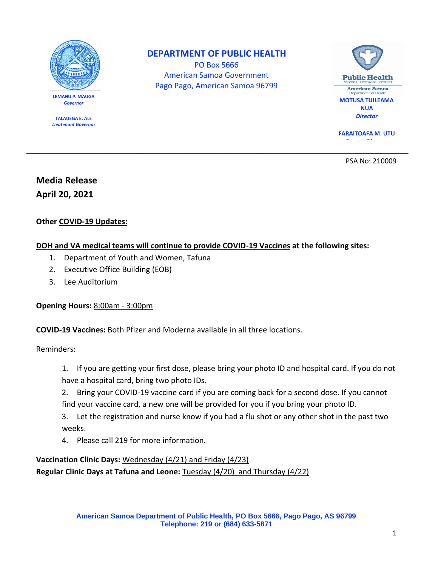

**LEMANU P. MAUGA** *Governor*

**TALAUEGA E. ALE** *Lieutenant Governor*

## **DEPARTMENT OF PUBLIC HEALTH**

PO Box 5666 American Samoa Government Pago Pago, American Samoa 96799

**\_\_\_\_\_\_\_\_\_\_\_\_\_\_\_\_\_\_\_\_\_\_\_\_\_\_\_\_\_\_\_\_\_\_\_\_\_\_\_\_\_\_\_\_\_\_\_\_\_\_\_\_\_\_\_\_\_\_\_\_\_\_\_\_\_\_\_\_\_\_\_\_\_\_\_\_\_\_\_\_\_\_\_\_\_\_\_\_\_** 



**FARAITOAFA M. UTU** *Deputy Director*

PSA No: 210009

# **Media Release April 20, 2021**

## **Other COVID-19 Updates:**

## **DOH and VA medical teams will continue to provide COVID-19 Vaccines at the following sites:**

- 1. Department of Youth and Women, Tafuna
- 2. Executive Office Building (EOB)
- 3. Lee Auditorium

#### **Opening Hours:** 8:00am - 3:00pm

**COVID-19 Vaccines:** Both Pfizer and Moderna available in all three locations.

Reminders:

- 1. If you are getting your first dose, please bring your photo ID and hospital card. If you do not have a hospital card, bring two photo IDs.
- 2. Bring your COVID-19 vaccine card if you are coming back for a second dose. If you cannot find your vaccine card, a new one will be provided for you if you bring your photo ID.
- 3. Let the registration and nurse know if you had a flu shot or any other shot in the past two weeks.
- 4. Please call 219 for more information.

## **Vaccination Clinic Days:** Wednesday (4/21) and Friday (4/23) **Regular Clinic Days at Tafuna and Leone:** Tuesday (4/20) and Thursday (4/22)